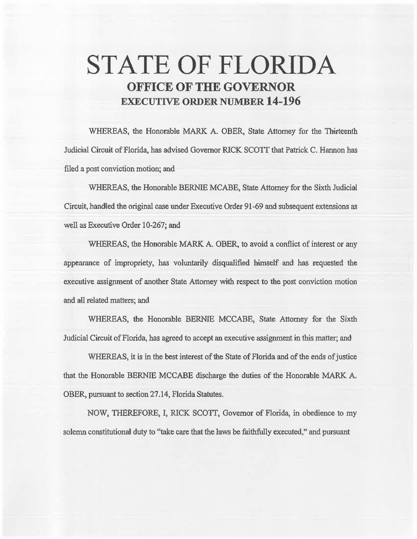# **STATE OF FLORIDA OFFICE OF THE GOVERNOR EXECUTIVE ORDER NUMBER 14-196**

WHEREAS, the Honorable MARK A. OBER, State Attorney for the Thirteenth Judicial Circuit of Florida, has advised Governor RICK SCOTT that Patrick C. Hannon has filed a post conviction motion; and

WHEREAS, the Honorable BERNIE MCABE, State Attorney for the Sixth Judicial Circuit, handled the original case under Executive Order 91-69 and subsequent extensions as well as Executive Order 10-267; and

WHEREAS, the Honorable MARK A. OBER, to avoid a conflict of interest or any appearance of impropriety, has voluntarily disqualified himself and has requested the executive assignment of another State Attorney with respect to the post conviction motion and all related matters; and

WHEREAS, the Honorable BERNIE MCCABE, State Attorney for the Sixth Judicial Circuit of Florida, has agreed to accept an executive assignment in thls matter; and

WHEREAS, it is in the best interest of the State of Florida and of the ends of justice that the Honorable BERNIE MCCABE discharge the duties of the Honorable MARK A. OBER, pursuant to section 27.14, Florida Statutes.

NOW, THEREFORE, I, RICK SCOTT, Governor of Florida, in obedience to my solemn constitutional duty to "take care that the laws be faithfully executed," and pursuant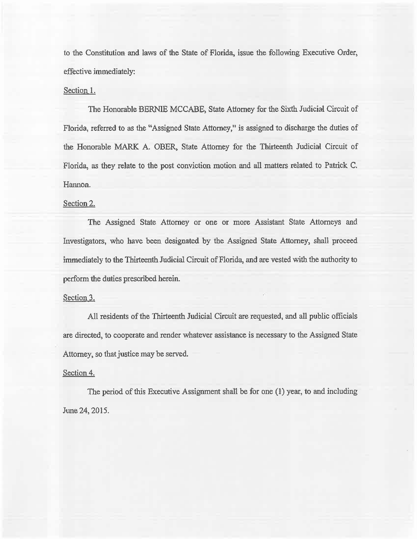to the Constitution and laws of the State of Florida, issue the following Executive Order, effective immediately:

#### Section 1.

The Honorable BERNIE MCCABE, State Attorney for the Sixth Judicial Circuit of Florida, referred to as the "Assigned State Attorney," is assigned to discharge the duties of the Honorable MARK A. OBER, State Attorney for the Thirteenth Judicial Circuit of Florida, as they relate to the post conviction motion and all matters related to Patrick C. Hannon.

### Section 2.

The Assigned State Attorney or one or more Assistant State Attorneys and Investigators, who have been designated by the Assigned State Attorney, shall proceed immediately to the Thirteenth Judicial Circuit of Florida, and are vested with the authority to perform the duties prescribed herein.

#### Section 3.

All residents of the Thirteenth Judicial Circuit are requested, and all public officials are directed, to cooperate and render whatever assistance is necessary to the Assigned State Attorney, so that justice may be served.

#### Section 4.

The period of this Executive Assignment shall be for one (1) year, to and including June 24, 2015.